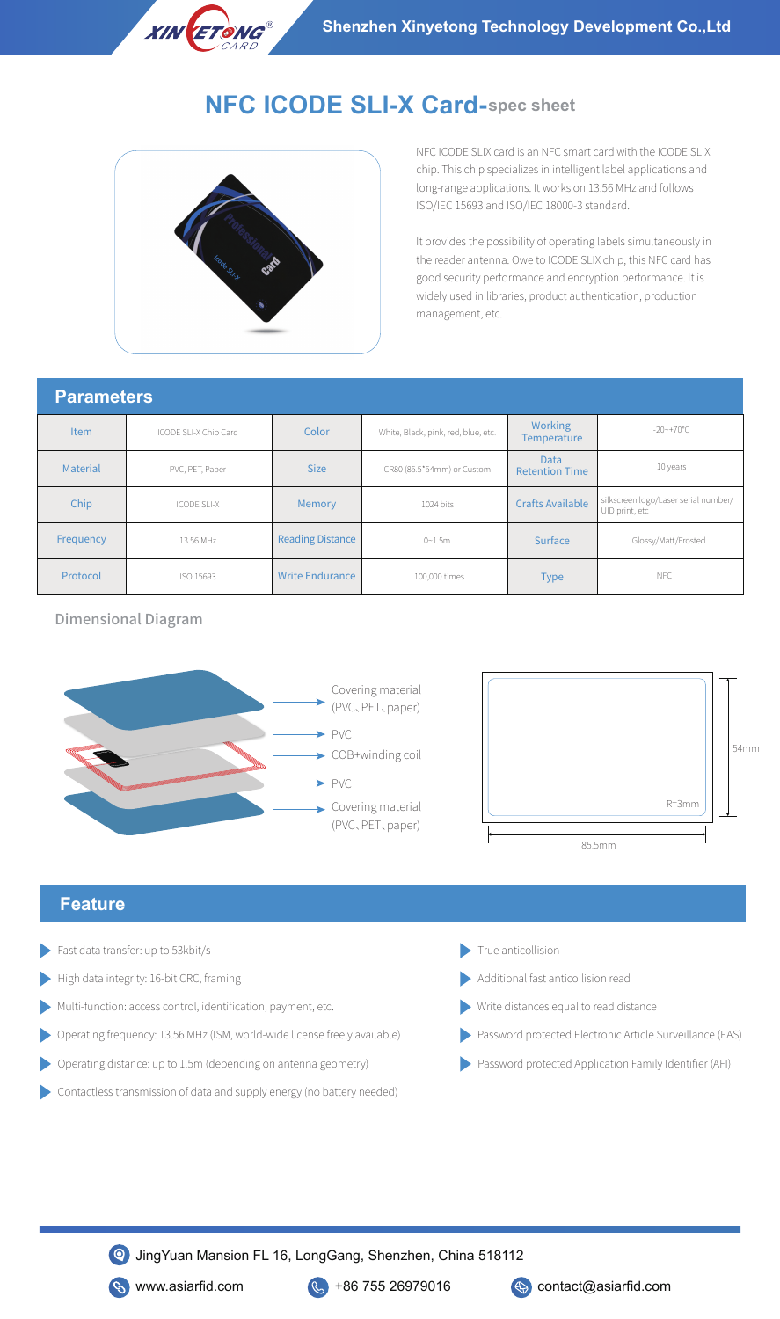

# **NFC ICODE SLI-X Card-spec sheet**



NFC ICODE SLIX card is an NFC smart card with the ICODE SLIX chip. This chip specializes in intelligent label applications and long-range applications. It works on 13.56 MHz and follows ISO/IEC 15693 and ISO/IEC 18000-3 standard.

It provides the possibility of operating labels simultaneously in the reader antenna. Owe to ICODE SLIX chip, this NFC card has good security performance and encryption performance. It is widely used in libraries, product authentication, production management, etc.

#### **Parameters**

| <u>i mimilivtviv</u> |                       |                         |                                     |                               |                                                        |
|----------------------|-----------------------|-------------------------|-------------------------------------|-------------------------------|--------------------------------------------------------|
| <b>Item</b>          | ICODE SLI-X Chip Card | Color                   | White, Black, pink, red, blue, etc. | Working<br><b>Temperature</b> | $-20$ ~+70°C                                           |
| Material             | PVC, PET, Paper       | <b>Size</b>             | CR80 (85.5*54mm) or Custom          | Data<br><b>Retention Time</b> | 10 years                                               |
| Chip                 | <b>ICODE SLI-X</b>    | Memory                  | 1024 bits                           | <b>Crafts Available</b>       | silkscreen logo/Laser serial number/<br>UID print, etc |
| Frequency            | 13.56 MHz             | <b>Reading Distance</b> | $0 - 1.5m$                          | Surface                       | Glossy/Matt/Frosted                                    |
| Protocol             | ISO 15693             | <b>Write Endurance</b>  | 100,000 times                       | <b>Type</b>                   | <b>NFC</b>                                             |

Dimensional Diagram





## **Feature**

- Fast data transfer: up to 53kbit/s
- High data integrity: 16-bit CRC, framing  $\blacksquare$  Additional fast anticollision read
- Multi-function: access control, identification, payment, etc.
- Operating frequency: 13.56 MHz (ISM, world-wide license freely available)
- Operating distance: up to 1.5m (depending on antenna geometry)
- Contactless transmission of data and supply energy (no battery needed)
- True anticollision
- 
- Write distances equal to read distance
- Password protected Electronic Article Surveillance (EAS)
- Password protected Application Family Identifier (AFI)

JingYuan Mansion FL 16, LongGang, Shenzhen, China 518112